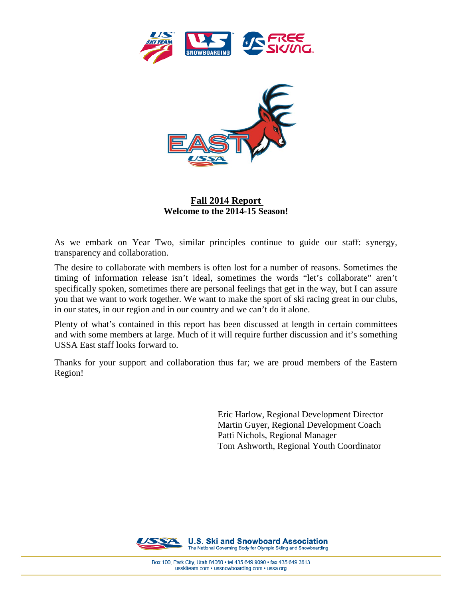



# **Fall 2014 Report Welcome to the 2014-15 Season!**

As we embark on Year Two, similar principles continue to guide our staff: synergy, transparency and collaboration.

The desire to collaborate with members is often lost for a number of reasons. Sometimes the timing of information release isn't ideal, sometimes the words "let's collaborate" aren't specifically spoken, sometimes there are personal feelings that get in the way, but I can assure you that we want to work together. We want to make the sport of ski racing great in our clubs, in our states, in our region and in our country and we can't do it alone.

Plenty of what's contained in this report has been discussed at length in certain committees and with some members at large. Much of it will require further discussion and it's something USSA East staff looks forward to.

Thanks for your support and collaboration thus far; we are proud members of the Eastern Region!

> Eric Harlow, Regional Development Director Martin Guyer, Regional Development Coach Patti Nichols, Regional Manager Tom Ashworth, Regional Youth Coordinator

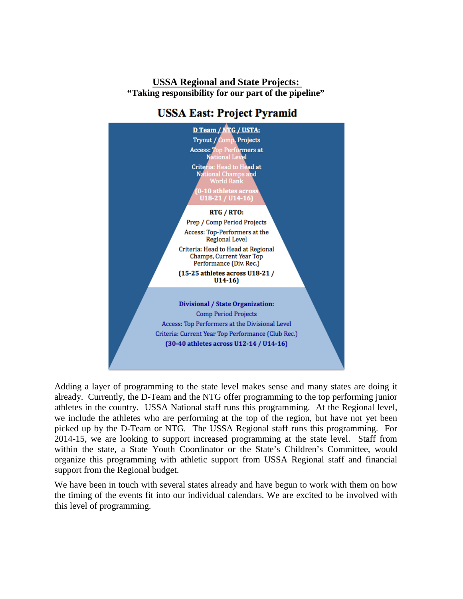# **USSA Regional and State Projects: "Taking responsibility for our part of the pipeline"**



# **USSA East: Project Pyramid**

Adding a layer of programming to the state level makes sense and many states are doing it already. Currently, the D-Team and the NTG offer programming to the top performing junior athletes in the country. USSA National staff runs this programming. At the Regional level, we include the athletes who are performing at the top of the region, but have not yet been picked up by the D-Team or NTG. The USSA Regional staff runs this programming. For 2014-15, we are looking to support increased programming at the state level. Staff from within the state, a State Youth Coordinator or the State's Children's Committee, would organize this programming with athletic support from USSA Regional staff and financial support from the Regional budget.

We have been in touch with several states already and have begun to work with them on how the timing of the events fit into our individual calendars. We are excited to be involved with this level of programming.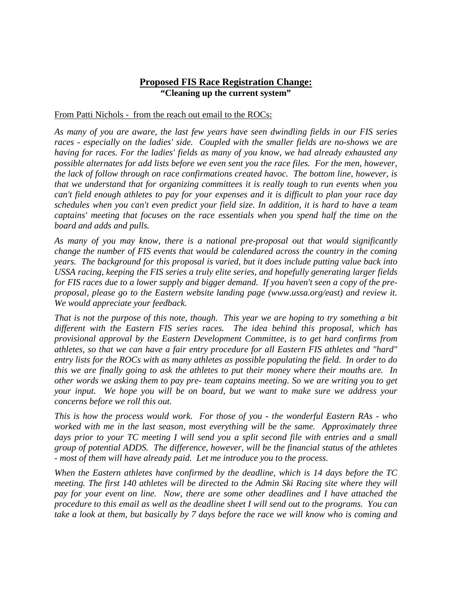# **Proposed FIS Race Registration Change: "Cleaning up the current system"**

## From Patti Nichols - from the reach out email to the ROCs:

*As many of you are aware, the last few years have seen dwindling fields in our FIS series races - especially on the ladies' side. Coupled with the smaller fields are no-shows we are having for races. For the ladies' fields as many of you know, we had already exhausted any possible alternates for add lists before we even sent you the race files. For the men, however, the lack of follow through on race confirmations created havoc. The bottom line, however, is that we understand that for organizing committees it is really tough to run events when you can't field enough athletes to pay for your expenses and it is difficult to plan your race day schedules when you can't even predict your field size. In addition, it is hard to have a team captains' meeting that focuses on the race essentials when you spend half the time on the board and adds and pulls.*

*As many of you may know, there is a national pre-proposal out that would significantly change the number of FIS events that would be calendared across the country in the coming years. The background for this proposal is varied, but it does include putting value back into USSA racing, keeping the FIS series a truly elite series, and hopefully generating larger fields for FIS races due to a lower supply and bigger demand. If you haven't seen a copy of the preproposal, please go to the Eastern website landing page (www.ussa.org/east) and review it. We would appreciate your feedback.*

*That is not the purpose of this note, though. This year we are hoping to try something a bit different with the Eastern FIS series races. The idea behind this proposal, which has provisional approval by the Eastern Development Committee, is to get hard confirms from athletes, so that we can have a fair entry procedure for all Eastern FIS athletes and "hard" entry lists for the ROCs with as many athletes as possible populating the field. In order to do this we are finally going to ask the athletes to put their money where their mouths are. In other words we asking them to pay pre- team captains meeting. So we are writing you to get your input. We hope you will be on board, but we want to make sure we address your concerns before we roll this out.*

*This is how the process would work. For those of you - the wonderful Eastern RAs - who worked with me in the last season, most everything will be the same. Approximately three days prior to your TC meeting I will send you a split second file with entries and a small group of potential ADDS. The difference, however, will be the financial status of the athletes - most of them will have already paid. Let me introduce you to the process.*

*When the Eastern athletes have confirmed by the deadline, which is 14 days before the TC meeting. The first 140 athletes will be directed to the Admin Ski Racing site where they will pay for your event on line. Now, there are some other deadlines and I have attached the procedure to this email as well as the deadline sheet I will send out to the programs. You can take a look at them, but basically by 7 days before the race we will know who is coming and*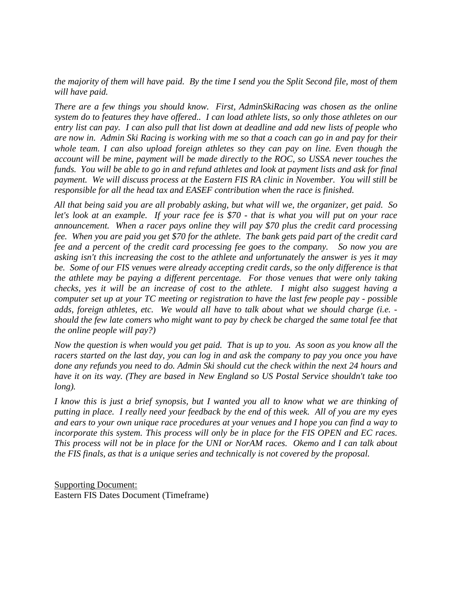*the majority of them will have paid. By the time I send you the Split Second file, most of them will have paid.*

*There are a few things you should know. First, AdminSkiRacing was chosen as the online system do to features they have offered.. I can load athlete lists, so only those athletes on our entry list can pay. I can also pull that list down at deadline and add new lists of people who are now in. Admin Ski Racing is working with me so that a coach can go in and pay for their whole team. I can also upload foreign athletes so they can pay on line. Even though the account will be mine, payment will be made directly to the ROC, so USSA never touches the funds. You will be able to go in and refund athletes and look at payment lists and ask for final payment. We will discuss process at the Eastern FIS RA clinic in November. You will still be responsible for all the head tax and EASEF contribution when the race is finished.*

*All that being said you are all probably asking, but what will we, the organizer, get paid. So let's look at an example. If your race fee is \$70 - that is what you will put on your race announcement. When a racer pays online they will pay \$70 plus the credit card processing fee. When you are paid you get \$70 for the athlete. The bank gets paid part of the credit card fee and a percent of the credit card processing fee goes to the company. So now you are asking isn't this increasing the cost to the athlete and unfortunately the answer is yes it may be. Some of our FIS venues were already accepting credit cards, so the only difference is that the athlete may be paying a different percentage. For those venues that were only taking checks, yes it will be an increase of cost to the athlete. I might also suggest having a computer set up at your TC meeting or registration to have the last few people pay - possible adds, foreign athletes, etc. We would all have to talk about what we should charge (i.e. should the few late comers who might want to pay by check be charged the same total fee that the online people will pay?)*

*Now the question is when would you get paid. That is up to you. As soon as you know all the racers started on the last day, you can log in and ask the company to pay you once you have done any refunds you need to do. Admin Ski should cut the check within the next 24 hours and have it on its way. (They are based in New England so US Postal Service shouldn't take too long).*

*I know this is just a brief synopsis, but I wanted you all to know what we are thinking of putting in place. I really need your feedback by the end of this week. All of you are my eyes and ears to your own unique race procedures at your venues and I hope you can find a way to incorporate this system. This process will only be in place for the FIS OPEN and EC races. This process will not be in place for the UNI or NorAM races. Okemo and I can talk about the FIS finals, as that is a unique series and technically is not covered by the proposal.* 

Supporting Document: Eastern FIS Dates Document (Timeframe)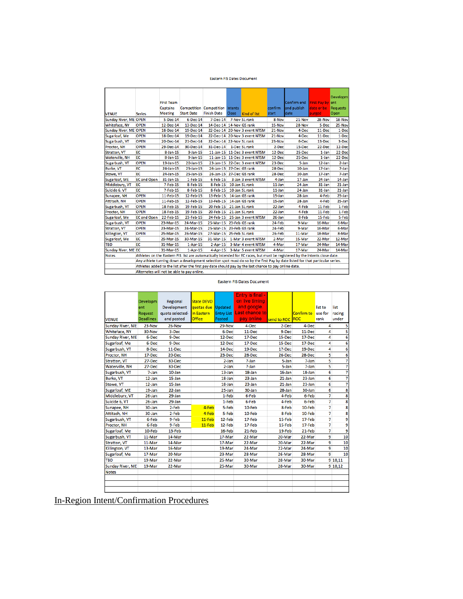#### Eastern FIS Dates Document

|                              |                                                                                                                              | <b>First Team</b><br><b>Captains</b><br><b>Meeting</b> | <b>Start Date</b> | <b>Competition Competition Intents</b><br><b>Finish Date</b> | <b>Close</b>   |                                                                                                                             | confirm<br>start | Confirm end First Pay by ent<br>and publish<br>date | date or be | <b>Developm</b><br>Requests |  |  |
|------------------------------|------------------------------------------------------------------------------------------------------------------------------|--------------------------------------------------------|-------------------|--------------------------------------------------------------|----------------|-----------------------------------------------------------------------------------------------------------------------------|------------------|-----------------------------------------------------|------------|-----------------------------|--|--|
| <b>VENUE</b>                 | <b>Series</b>                                                                                                                |                                                        |                   |                                                              |                | Kind of list                                                                                                                |                  |                                                     | purged     | Open                        |  |  |
| <b>Sunday River, ME OPEN</b> |                                                                                                                              | 5-Dec-14                                               | 6-Dec-14          | 7-Dec-14                                                     |                | 7-Nov SL rank                                                                                                               | 8-Nov            | 21-Nov                                              | 28-Nov     | 18-Nov                      |  |  |
| Whiteface, NY                | <b>OPEN</b>                                                                                                                  | 12-Dec-14                                              | 13-Dec-14         | 14-Dec-14 14-Nov GS rank                                     |                |                                                                                                                             | 15-Nov           | 28-Nov                                              | 5-Dec      | 25-Nov                      |  |  |
| Sunday River, ME OPEN        |                                                                                                                              | 18-Dec-14                                              | 19-Dec-14         |                                                              |                | 22-Dec-14 20-Nov 3 event NTSM                                                                                               | 21-Nov           | 4-Dec                                               | 11-Dec     | 1-Dec                       |  |  |
| Sugarloaf, Me                | <b>OPEN</b>                                                                                                                  | 18-Dec-14                                              | 19-Dec-14         |                                                              |                | 22-Dec-14 20-Nov 3 event NTSM                                                                                               | 21-Nov           | 4-Dec                                               | 11-Dec     | 1-Dec                       |  |  |
| Sugarbush, VT                | <b>OPEN</b>                                                                                                                  | 20-Dec-14                                              | 21-Dec-14         | 22-Dec-14 22-Nov SL rank                                     |                |                                                                                                                             | 23-Nov           | 6-Dec                                               | 13-Dec     | 3-Dec                       |  |  |
| Proctor, NH                  | <b>OPEN</b>                                                                                                                  | 29-Dec-14                                              | 30-Dec-14         | 31-Dec-14                                                    |                | 1-Dec SL rank                                                                                                               | 2-Dec            | 15-Dec                                              | 22-Dec     | 12-Dec                      |  |  |
| <b>Stratton, VT</b>          | EC                                                                                                                           | 8-Jan-15                                               | $9$ -Jan-15       |                                                              |                | 11-Jan-15 11-Dec 3 event NTSM                                                                                               | 12-Dec           | 25-Dec                                              | 1-Jan      | 22-Dec                      |  |  |
| Waterville, NH               | EC                                                                                                                           | $8 - Jan - 15$                                         | $9 - Jan - 15$    |                                                              |                | 11-Jan-15 11-Dec 3 event NTSM                                                                                               | 12-Dec           | 25-Dec                                              | $1$ -Jan   | 22-Dec                      |  |  |
| Sugarbush, VT                | <b>OPEN</b>                                                                                                                  | 19-Jan-15                                              | 20-Jan-15         |                                                              |                | 23-Jan-15 22-Dec 3 event NTSM                                                                                               | 23-Dec           | 5-Jan                                               | 12-Jan     | $2$ -Jan                    |  |  |
| <b>Burke, VT</b>             | EC                                                                                                                           | 24-Jan-15                                              | 25-Jan-15         | 26-Jan-15 27-Dec GS rank                                     |                |                                                                                                                             | 28-Dec           | $10$ -Jan                                           | $17$ -Jan  | 7-Jan                       |  |  |
| Stowe, VT                    | EC                                                                                                                           | 24-Jan-15                                              | 25-Jan-15         | 26-Jan-15 27-Dec GS rank                                     |                |                                                                                                                             | 28-Dec           | $10$ -Jan                                           | $17$ -Jan  | 7-Jan                       |  |  |
| Sugarloaf, ME                | <b>EC and Open</b>                                                                                                           | 31-Jan-15                                              | 1-Feb-15          | $6$ -Feb-15                                                  |                | 3-Jan 3 event NTSM                                                                                                          | 4-Jan            | $17$ -Jan                                           | $24$ -Jan  | 14-Jan                      |  |  |
| Middlebury, VT               | EC                                                                                                                           | 7-Feb-15                                               | 8-Feb-15          | $8$ -Feb-15                                                  | 10-Jan SL rank |                                                                                                                             | $11$ -Jan        | 24-Jan                                              | $31$ -Jan  | $21$ -Jan                   |  |  |
| Suicide 6, VT                | ЕC                                                                                                                           | $7-Feb-15$                                             | 8-Feb-15          | 8-Feb-15                                                     |                | 10-Jan SL rank                                                                                                              | $11$ -Jan        | $24$ -Jan                                           | $31$ -Jan  | $21$ -Jan                   |  |  |
| Sunapee, NH                  | <b>OPEN</b>                                                                                                                  | 11-Feb-15                                              | 12-Feb-15         | 13-Feb-15 14-Jan GS rank                                     |                |                                                                                                                             | $15$ -Jan        | $28$ -Jan                                           | 4-Feb      | 25-Jan                      |  |  |
| Attitash, NH                 | <b>OPEN</b>                                                                                                                  | 11-Feb-15                                              | 12-Feb-15         | 13-Feb-15                                                    |                | 14-Jan GS rank                                                                                                              | 15-Jan           | $28$ -Jan                                           | 4-Feb      | $25 - Jan$                  |  |  |
| Sugarbush, VT                | <b>OPEN</b>                                                                                                                  | 18-Feb-15                                              | 19-Feb-15         | 20-Feb-15 21-Jan SL rank                                     |                |                                                                                                                             | 22-Jan           | 4-Feb                                               | 11-Feb     | 1-Feb                       |  |  |
| Proctor, NH                  | <b>OPEN</b>                                                                                                                  | 18-Feb-15                                              | 19-Feb-15         | 20-Feb-15 21-Jan SL rank                                     |                |                                                                                                                             | 22-Jan           | 4-Feb                                               | $11-Feb$   | 1-Feb                       |  |  |
| Sugarloaf, Me                | <b>EC and Open</b>                                                                                                           | 22-Feb-15                                              | 23-Feb-15         |                                                              |                | 24-Feb-15 25-Jan 3 event NTSM                                                                                               | 26-Jan           | 8-Feb                                               | 15-Feb     | 5-Feb                       |  |  |
| Sugarbush, VT                | <b>OPEN</b>                                                                                                                  | 23-Mar-15                                              | 24-Mar-15         | 25-Mar-15 23-Feb GS rank                                     |                |                                                                                                                             | 24-Feb           | 9-Mar                                               | 16-Mar     | 6-Mar                       |  |  |
| <b>Stratton, VT</b>          | <b>OPEN</b>                                                                                                                  | 23-Mar-15                                              | 24-Mar-15         | 25-Mar-15 23-Feb GS rank                                     |                |                                                                                                                             | 24-Feb           | 9-Mar                                               | 16-Mar     | 6-Mar                       |  |  |
| Killington, VT               | <b>OPEN</b>                                                                                                                  | 25-Mar-15                                              | 26-Mar-15         | 27-Mar-15 25-Feb SL rank                                     |                |                                                                                                                             | 26-Feb           | 11-Mar                                              | 18-Mar     | 8-Mar                       |  |  |
| Sugarloaf, Me                | EC                                                                                                                           | 29-Mar-15                                              | 30-Mar-15         |                                                              |                | 31-Mar-15 1-Mar 3 event NTSM                                                                                                | 2-Mar            | 15-Mar                                              | 22-Mar     | 12-Mar                      |  |  |
| TBD                          | EC                                                                                                                           | 31-Mar-15                                              | $1 -$ Apr $-15$   |                                                              |                | 2-Apr-15 3-Mar 4 event NTSM                                                                                                 | 4-Mar            | 17-Mar                                              | 24-Mar     | 14-Mar                      |  |  |
| Sunday River, ME EC          |                                                                                                                              | 31-Mar-15                                              | $1-Apr-15$        |                                                              |                | 4-Apr-15 3-Mar 5 event NTSM                                                                                                 | 4-Mar            | 17-Mar                                              | 24-Mar     | 14-Mar                      |  |  |
| <b>Notes</b>                 |                                                                                                                              |                                                        |                   |                                                              |                | Athletes on the Eastern FIS list are automatically intended for EC races, but must be registered by the intents close date. |                  |                                                     |            |                             |  |  |
|                              | Any athlete turning down a development selection spot must do so by the first Pay by date listed for that particular series. |                                                        |                   |                                                              |                |                                                                                                                             |                  |                                                     |            |                             |  |  |
|                              | Athletes added to the list after the first pay date should pay by the last chance to pay online date.                        |                                                        |                   |                                                              |                |                                                                                                                             |                  |                                                     |            |                             |  |  |
|                              | Alternates will not be able to pay online.                                                                                   |                                                        |                   |                                                              |                |                                                                                                                             |                  |                                                     |            |                             |  |  |
|                              |                                                                                                                              |                                                        |                   |                                                              |                |                                                                                                                             |                  |                                                     |            |                             |  |  |

Eastern FIS Dates Document

| <b>VENUE</b>        | <b>Developm</b><br>ent<br>Request<br><b>Deadlines</b> | Regional<br>Development<br>quota selected-<br>and posted | <b>State DEVO</b><br>quotas due<br>in Eastern<br><b>Office</b> | <b>Updated</b><br>Entry List<br>Posted | Entry is final -<br>on live timing<br>and google.<br>Last chance to<br>pay online | send to ROC ROC | Confirm to | list to<br>use for<br>rank | list<br>racing<br>under |
|---------------------|-------------------------------------------------------|----------------------------------------------------------|----------------------------------------------------------------|----------------------------------------|-----------------------------------------------------------------------------------|-----------------|------------|----------------------------|-------------------------|
| Sunday River, ME    | 23-Nov                                                | 26-Nov                                                   |                                                                | 29-Nov                                 | 4-Dec                                                                             | 2-Dec           | 4-Dec      | 4                          | 5                       |
| Whiteface, NY       | 30-Nov                                                | 3-Dec                                                    |                                                                | 6-Dec                                  | $11 - Dec$                                                                        | 9-Dec           | 11-Dec     | 4                          | 5                       |
| Sunday River, ME    | 6-Dec                                                 | 9-Dec                                                    |                                                                | 12-Dec                                 | 17-Dec                                                                            | 15-Dec          | 17-Dec     | 4                          | 6                       |
| Sugarloaf, Me       | 6-Dec                                                 | 9-Dec                                                    |                                                                | 12-Dec                                 | 17-Dec                                                                            | 15-Dec          | 17-Dec     | 4                          | 6                       |
| Sugarbush, VT       | 8-Dec                                                 | 11-Dec                                                   |                                                                | 14-Dec                                 | 19-Dec                                                                            | 17-Dec          | 19-Dec     | 4                          | 6                       |
| Proctor, NH         | 17-Dec                                                | 20-Dec                                                   |                                                                | 23-Dec                                 | 28-Dec                                                                            | 26-Dec          | 28-Dec     | 5                          | 6                       |
| <b>Stratton, VT</b> | 27-Dec                                                | 30-Dec                                                   |                                                                | 2-Jan                                  | 7-Jan                                                                             | 5-Jan           | 7-Jan      | 5                          | 7                       |
| Waterville, NH      | 27-Dec                                                | 30-Dec                                                   |                                                                | 2-Jan                                  | 7-Jan                                                                             | 5-Jan           | 7-Jan      | 5                          | 7                       |
| Sugarbush, VT       | 7-Jan                                                 | $10$ -Jan                                                |                                                                | $13$ -Jan                              | $18$ -Jan                                                                         | 16-Jan          | $18$ -Jan  | 6                          | 7                       |
| <b>Burke, VT</b>    | $12$ -Jan                                             | 15-Jan                                                   |                                                                | $18$ -Jan                              | 23-Jan                                                                            | 21-Jan          | $23$ -Jan  | 6                          | 7                       |
| Stowe, VT           | 12-Jan                                                | 15-Jan                                                   |                                                                | 18-Jan                                 | $23$ -Jan                                                                         | $21$ -Jan       | $23$ -Jan  | 6                          | 7                       |
| Sugarloaf, ME       | 19-Jan                                                | 22-Jan                                                   |                                                                | 25-Jan                                 | 30-Jan                                                                            | 28-Jan          | 30-Jan     | 6                          | 8                       |
| Middlebury, VT      | 26-Jan                                                | 29-Jan                                                   |                                                                | 1-Feb                                  | 6-Feb                                                                             | 4-Feb           | 6-Feb      | 7                          | 8                       |
| Suicide 6, VT       | $26$ -Jan                                             | 29-Jan                                                   |                                                                | 1-Feb                                  | 6-Feb                                                                             | 4-Feb           | 6-Feb      | 7                          | 8                       |
| Sunapee, NH         | 30-Jan                                                | 2-Feb                                                    | 4-Feb                                                          | 5-Feb                                  | 10-Feb                                                                            | 8-Feb           | 10-Feb     | 7                          | 8                       |
| Attitash, NH        | 30-Jan                                                | 2-Feb                                                    | 4-Feb                                                          | 5-Feb                                  | 10-Feb                                                                            | 8-Feb           | 10-Feb     | 7                          | 8                       |
| Sugarbush, VT       | 6-Feb                                                 | 9-Feb                                                    | $11-Feb$                                                       | 12-Feb                                 | 17-Feb                                                                            | 15-Feb          | 17-Feb     | 7                          | 9                       |
| Proctor, NH         | 6-Feb                                                 | 9-Feb                                                    | $11-Feb$                                                       | 12-Feb                                 | 17-Feb                                                                            | 15-Feb          | 17-Feb     | 7                          | 9                       |
| Sugarloaf, Me       | 10-Feb                                                | 13-Feb                                                   |                                                                | 16-Feb                                 | 21-Feb                                                                            | 19-Feb          | 21-Feb     | 7                          | 9                       |
| Sugarbush, VT       | 11-Mar                                                | 14-Mar                                                   |                                                                | 17-Mar                                 | 22-Mar                                                                            | 20-Mar          | 22-Mar     | 9                          | 10                      |
| Stratton, VT        | 11-Mar                                                | 14-Mar                                                   |                                                                | 17-Mar                                 | 22-Mar                                                                            | 20-Mar          | 22-Mar     | 9                          | 10                      |
| Killington, VT      | 13-Mar                                                | 16-Mar                                                   |                                                                | 19-Mar                                 | 24-Mar                                                                            | 22-Mar          | 24-Mar     | 9                          | 10                      |
| Sugarloaf, Me       | 17-Mar                                                | 20-Mar                                                   |                                                                | 23-Mar                                 | 28-Mar                                                                            | 26-Mar          | 28-Mar     | 9                          | 10                      |
| TBD                 | 19-Mar                                                | 22-Mar                                                   |                                                                | 25-Mar                                 | 30-Mar                                                                            | 28-Mar          | 30-Mar     |                            | 9 10,11                 |
| Sunday River, ME    | 19-Mar                                                | 22-Mar                                                   |                                                                | 25-Mar                                 | 30-Mar                                                                            | 28-Mar          | 30-Mar     |                            | 9 10,12                 |
| <b>Notes</b>        |                                                       |                                                          |                                                                |                                        |                                                                                   |                 |            |                            |                         |
|                     |                                                       |                                                          |                                                                |                                        |                                                                                   |                 |            |                            |                         |
|                     |                                                       |                                                          |                                                                |                                        |                                                                                   |                 |            |                            |                         |
|                     |                                                       |                                                          |                                                                |                                        |                                                                                   |                 |            |                            |                         |

In-Region Intent/Confirmation Procedures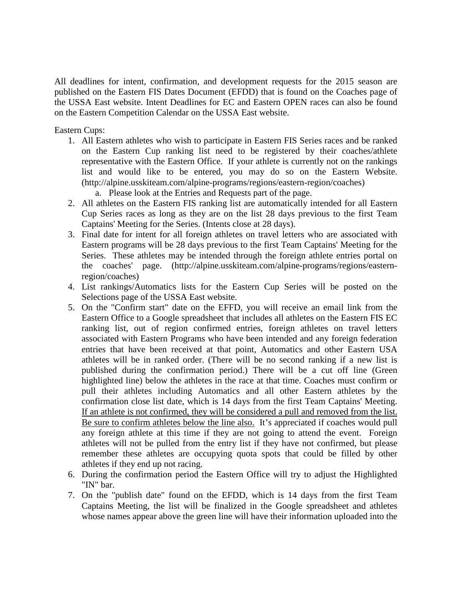All deadlines for intent, confirmation, and development requests for the 2015 season are published on the Eastern FIS Dates Document (EFDD) that is found on the Coaches page of the USSA East website. Intent Deadlines for EC and Eastern OPEN races can also be found on the Eastern Competition Calendar on the USSA East website.

Eastern Cups:

- 1. All Eastern athletes who wish to participate in Eastern FIS Series races and be ranked on the Eastern Cup ranking list need to be registered by their coaches/athlete representative with the Eastern Office. If your athlete is currently not on the rankings list and would like to be entered, you may do so on the Eastern Website. (http://alpine.usskiteam.com/alpine-programs/regions/eastern-region/coaches)
	- a. Please look at the Entries and Requests part of the page.
- 2. All athletes on the Eastern FIS ranking list are automatically intended for all Eastern Cup Series races as long as they are on the list 28 days previous to the first Team Captains' Meeting for the Series. (Intents close at 28 days).
- 3. Final date for intent for all foreign athletes on travel letters who are associated with Eastern programs will be 28 days previous to the first Team Captains' Meeting for the Series. These athletes may be intended through the foreign athlete entries portal on the coaches' page. (http://alpine.usskiteam.com/alpine-programs/regions/easternregion/coaches)
- 4. List rankings/Automatics lists for the Eastern Cup Series will be posted on the Selections page of the USSA East website.
- 5. On the "Confirm start" date on the EFFD, you will receive an email link from the Eastern Office to a Google spreadsheet that includes all athletes on the Eastern FIS EC ranking list, out of region confirmed entries, foreign athletes on travel letters associated with Eastern Programs who have been intended and any foreign federation entries that have been received at that point, Automatics and other Eastern USA athletes will be in ranked order. (There will be no second ranking if a new list is published during the confirmation period.) There will be a cut off line (Green highlighted line) below the athletes in the race at that time. Coaches must confirm or pull their athletes including Automatics and all other Eastern athletes by the confirmation close list date, which is 14 days from the first Team Captains' Meeting. If an athlete is not confirmed, they will be considered a pull and removed from the list. Be sure to confirm athletes below the line also. It's appreciated if coaches would pull any foreign athlete at this time if they are not going to attend the event. Foreign athletes will not be pulled from the entry list if they have not confirmed, but please remember these athletes are occupying quota spots that could be filled by other athletes if they end up not racing.
- 6. During the confirmation period the Eastern Office will try to adjust the Highlighted "IN" bar.
- 7. On the "publish date" found on the EFDD, which is 14 days from the first Team Captains Meeting, the list will be finalized in the Google spreadsheet and athletes whose names appear above the green line will have their information uploaded into the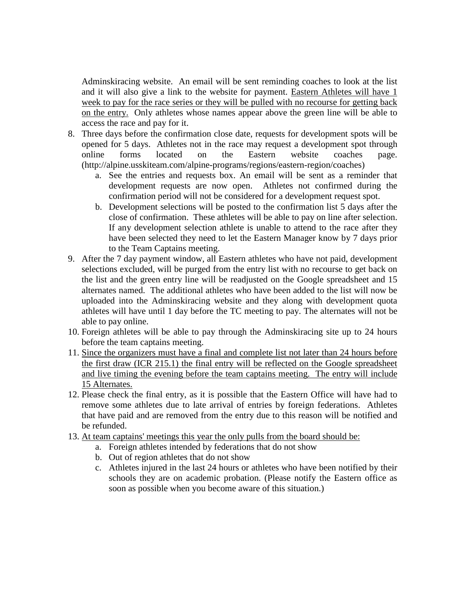Adminskiracing website. An email will be sent reminding coaches to look at the list and it will also give a link to the website for payment. Eastern Athletes will have 1 week to pay for the race series or they will be pulled with no recourse for getting back on the entry. Only athletes whose names appear above the green line will be able to access the race and pay for it.

- 8. Three days before the confirmation close date, requests for development spots will be opened for 5 days. Athletes not in the race may request a development spot through online forms located on the Eastern website coaches page. (http://alpine.usskiteam.com/alpine-programs/regions/eastern-region/coaches)
	- a. See the entries and requests box. An email will be sent as a reminder that development requests are now open. Athletes not confirmed during the confirmation period will not be considered for a development request spot.
	- b. Development selections will be posted to the confirmation list 5 days after the close of confirmation. These athletes will be able to pay on line after selection. If any development selection athlete is unable to attend to the race after they have been selected they need to let the Eastern Manager know by 7 days prior to the Team Captains meeting.
- 9. After the 7 day payment window, all Eastern athletes who have not paid, development selections excluded, will be purged from the entry list with no recourse to get back on the list and the green entry line will be readjusted on the Google spreadsheet and 15 alternates named. The additional athletes who have been added to the list will now be uploaded into the Adminskiracing website and they along with development quota athletes will have until 1 day before the TC meeting to pay. The alternates will not be able to pay online.
- 10. Foreign athletes will be able to pay through the Adminskiracing site up to 24 hours before the team captains meeting.
- 11. Since the organizers must have a final and complete list not later than 24 hours before the first draw (ICR 215.1) the final entry will be reflected on the Google spreadsheet and live timing the evening before the team captains meeting. The entry will include 15 Alternates.
- 12. Please check the final entry, as it is possible that the Eastern Office will have had to remove some athletes due to late arrival of entries by foreign federations. Athletes that have paid and are removed from the entry due to this reason will be notified and be refunded.
- 13. At team captains' meetings this year the only pulls from the board should be:
	- a. Foreign athletes intended by federations that do not show
		- b. Out of region athletes that do not show
		- c. Athletes injured in the last 24 hours or athletes who have been notified by their schools they are on academic probation. (Please notify the Eastern office as soon as possible when you become aware of this situation.)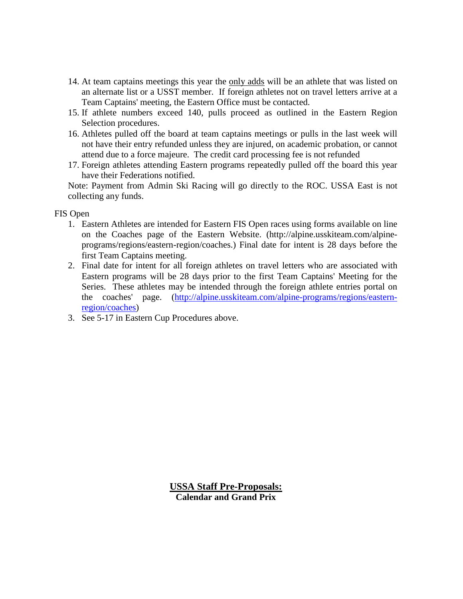- 14. At team captains meetings this year the only adds will be an athlete that was listed on an alternate list or a USST member. If foreign athletes not on travel letters arrive at a Team Captains' meeting, the Eastern Office must be contacted.
- 15. If athlete numbers exceed 140, pulls proceed as outlined in the Eastern Region Selection procedures.
- 16. Athletes pulled off the board at team captains meetings or pulls in the last week will not have their entry refunded unless they are injured, on academic probation, or cannot attend due to a force majeure. The credit card processing fee is not refunded
- 17. Foreign athletes attending Eastern programs repeatedly pulled off the board this year have their Federations notified.

Note: Payment from Admin Ski Racing will go directly to the ROC. USSA East is not collecting any funds.

FIS Open

- 1. Eastern Athletes are intended for Eastern FIS Open races using forms available on line on the Coaches page of the Eastern Website. (http://alpine.usskiteam.com/alpineprograms/regions/eastern-region/coaches.) Final date for intent is 28 days before the first Team Captains meeting.
- 2. Final date for intent for all foreign athletes on travel letters who are associated with Eastern programs will be 28 days prior to the first Team Captains' Meeting for the Series. These athletes may be intended through the foreign athlete entries portal on the coaches' page. [\(http://alpine.usskiteam.com/alpine-programs/regions/eastern](http://alpine.usskiteam.com/alpine-programs/regions/eastern-region/coaches)[region/coaches\)](http://alpine.usskiteam.com/alpine-programs/regions/eastern-region/coaches)
- 3. See 5-17 in Eastern Cup Procedures above.

**USSA Staff Pre-Proposals: Calendar and Grand Prix**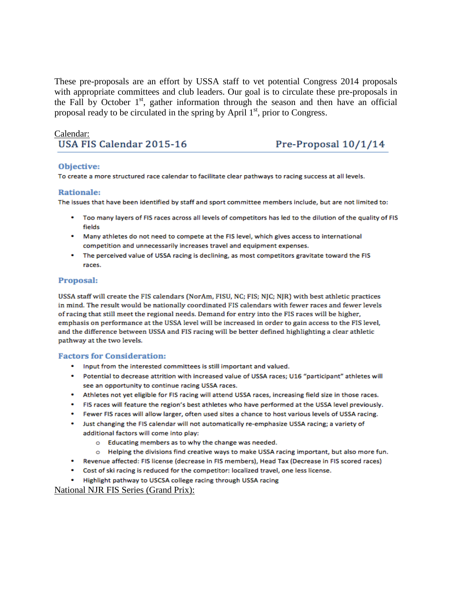These pre-proposals are an effort by USSA staff to vet potential Congress 2014 proposals with appropriate committees and club leaders. Our goal is to circulate these pre-proposals in the Fall by October  $1<sup>st</sup>$ , gather information through the season and then have an official proposal ready to be circulated in the spring by April  $1<sup>st</sup>$ , prior to Congress.

### Calendar:

# USA FIS Calendar 2015-16

Pre-Proposal 10/1/14

### Objective:

To create a more structured race calendar to facilitate clear pathways to racing success at all levels.

#### **Rationale:**

The issues that have been identified by staff and sport committee members include, but are not limited to:

- . Too many layers of FIS races across all levels of competitors has led to the dilution of the quality of FIS fields
- . Many athletes do not need to compete at the FIS level, which gives access to international competition and unnecessarily increases travel and equipment expenses.
- The perceived value of USSA racing is declining, as most competitors gravitate toward the FIS races.

### **Proposal:**

USSA staff will create the FIS calendars (NorAm, FISU, NC; FIS; NJC; NJR) with best athletic practices in mind. The result would be nationally coordinated FIS calendars with fewer races and fewer levels of racing that still meet the regional needs. Demand for entry into the FIS races will be higher, emphasis on performance at the USSA level will be increased in order to gain access to the FIS level, and the difference between USSA and FIS racing will be better defined highlighting a clear athletic pathway at the two levels.

### **Factors for Consideration:**

- Input from the interested committees is still important and valued.
- Potential to decrease attrition with increased value of USSA races; U16 "participant" athletes will see an opportunity to continue racing USSA races.
- Athletes not yet eligible for FIS racing will attend USSA races, increasing field size in those races.
- . FIS races will feature the region's best athletes who have performed at the USSA level previously.
- . Fewer FIS races will allow larger, often used sites a chance to host various levels of USSA racing.
- Just changing the FIS calendar will not automatically re-emphasize USSA racing; a variety of additional factors will come into play:
	- o Educating members as to why the change was needed.
	- o Helping the divisions find creative ways to make USSA racing important, but also more fun.
- \* Revenue affected: FIS license (decrease in FIS members), Head Tax (Decrease in FIS scored races)
- Cost of ski racing is reduced for the competitor: localized travel, one less license.
- Highlight pathway to USCSA college racing through USSA racing

National NJR FIS Series (Grand Prix):